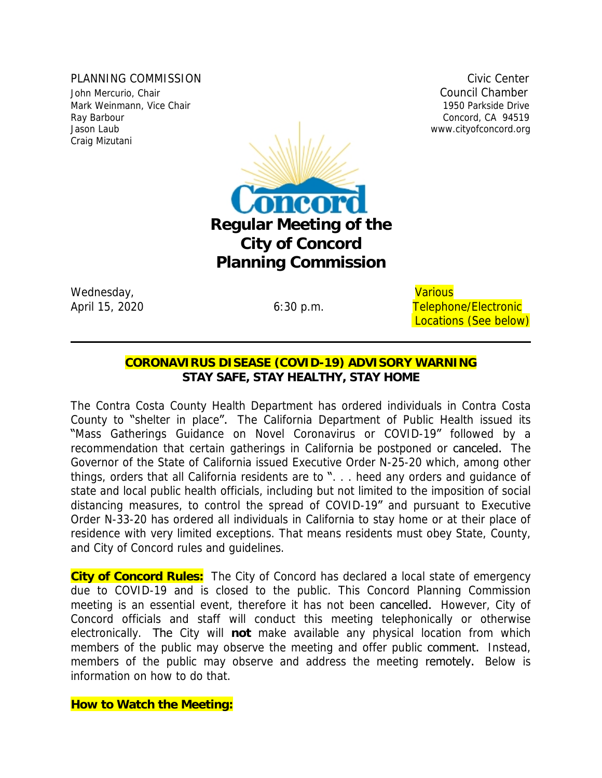PLANNING COMMISSION COMMISSION CIVIC CENTER COMMISSION John Mercurio, Chair **Council Chamber** Council Chamber Mark Weinmann, Vice Chair 1950 Parkside Drive Craig Mizutani



Wednesday, and the contract of the contract of the contract of the contract of the contract of the contract of the contract of the contract of the contract of the contract of the contract of the contract of the contract of

# April 15, 2020 **6:30 p.m.** Telephone/Electronic Locations (See below)

## **CORONAVIRUS DISEASE (COVID-19) ADVISORY WARNING** *STAY SAFE, STAY HEALTHY, STAY HOME*

The Contra Costa County Health Department has ordered individuals in Contra Costa County to "shelter in place". The California Department of Public Health issued its "Mass Gatherings Guidance on Novel Coronavirus or COVID-19" followed by a recommendation that certain gatherings in California be postponed or canceled. The Governor of the State of California issued Executive Order N-25-20 which, among other things, orders that all California residents are to ". . . heed any orders and guidance of state and local public health officials, including but not limited to the imposition of social distancing measures, to control the spread of COVID-19" and pursuant to Executive Order N-33-20 has ordered all individuals in California to stay home or at their place of residence with very limited exceptions. That means residents must obey State, County, and City of Concord rules and guidelines.

**City of Concord Rules:** The City of Concord has declared a local state of emergency due to COVID-19 and is closed to the public. This Concord Planning Commission meeting is an essential event, therefore it has not been cancelled. However, City of Concord officials and staff will conduct this meeting telephonically or otherwise electronically. The City will **not** make available any physical location from which members of the public may observe the meeting and offer public **comment.** Instead, members of the public may observe and address the meeting remotely. Below is information on how to do that.

**How to Watch the Meeting:**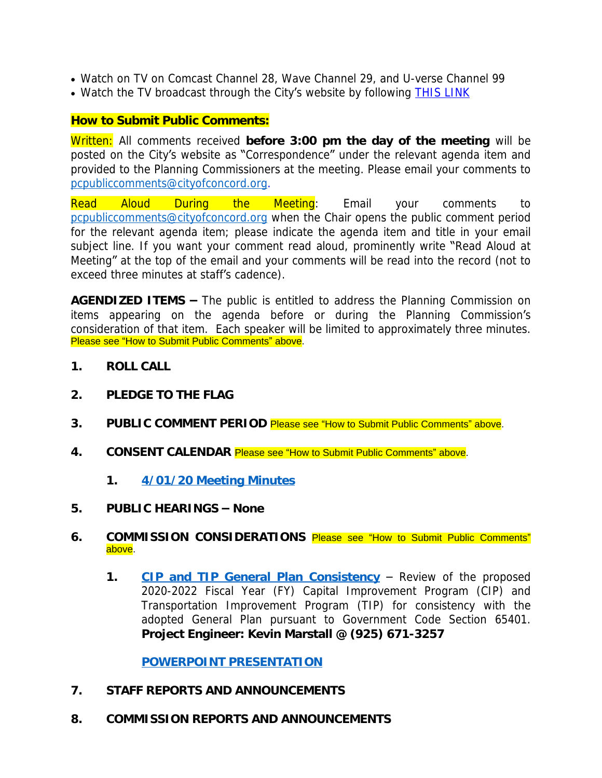- Watch on TV on Comcast Channel 28, Wave Channel 29, and U-verse Channel 99
- Watch the TV broadcast through the City's website by following [THIS LINK](http://204.195.93.6/cablecastapi/live?channel_id=1&use_cdn=true)

### **How to Submit Public Comments:**

Written: All comments received **before 3:00 pm the day of the meeting** will be posted on the City's website as "Correspondence" under the relevant agenda item and provided to the Planning Commissioners at the meeting. Please email your comments to [pcpubliccomments@cityofconcord.org](mailto:pcpubliccomments@cityofconcord.org).

Read Aloud During the Meeting: Email your comments to [pcpubliccomments@cityofconcord.org](mailto:pcpubliccomments@cityofconcord.org) when the Chair opens the public comment period for the relevant agenda item; please indicate the agenda item and title in your email subject line. If you want your comment read aloud, prominently write "Read Aloud at Meeting" at the top of the email and your comments will be read into the record (not to exceed three minutes at staff's cadence).

**AGENDIZED ITEMS –** The public is entitled to address the Planning Commission on items appearing on the agenda before or during the Planning Commission's consideration of that item. Each speaker will be limited to approximately three minutes. Please see "How to Submit Public Comments" above.

- **1. ROLL CALL**
- **2. PLEDGE TO THE FLAG**
- **3. PUBLIC COMMENT PERIOD** Please see "How to Submit Public Comments" above.
- **4. CONSENT CALENDAR** Please see "How to Submit Public Comments" above.
	- **1. [4/01/20 Meeting Minutes](https://www.cityofconcord.org/DocumentCenter/View/4449/4-1-20-PC-Draft-Minutes)**
- **[5.](https://www.cityofconcord.org/DocumentCenter/View/4449/4-1-20-PC-Draft-Minutes) [PUBLIC HEARINGS](https://www.cityofconcord.org/DocumentCenter/View/4449/4-1-20-PC-Draft-Minutes) – [None](https://www.cityofconcord.org/DocumentCenter/View/4449/4-1-20-PC-Draft-Minutes)**
- **[6.](https://www.cityofconcord.org/DocumentCenter/View/4449/4-1-20-PC-Draft-Minutes) COMMISSION [CONSIDERATIONS](https://www.cityofconcord.org/DocumentCenter/View/4449/4-1-20-PC-Draft-Minutes)** Please see "How to Submit Public [Comments](https://www.cityofconcord.org/DocumentCenter/View/4449/4-1-20-PC-Draft-Minutes)" [above.](https://www.cityofconcord.org/DocumentCenter/View/4449/4-1-20-PC-Draft-Minutes)
	- [1.](https://www.cityofconcord.org/DocumentCenter/View/4449/4-1-20-PC-Draft-Minutes) [CIP and TIP General Plan Consistency](https://www.cityofconcord.org/DocumentCenter/View/4448/FY-2020-2022-CIP-Budget-to-PC-General-Conformity) Review of the proposed 2020-2022 Fiscal Year (FY) Capital Improvement Program (CIP) and Transportation Improvement Program (TIP) for consistency with the adopted General Plan pursuant to Government Code Section 65401. **Project Engineer: Kevin Marstall @ (925) 671-3257**

**[POWERPOINT PRESENTATION](http://cityofconcord.org/DocumentCenter/View/4469/CIP-Budget-PC-PowerPoint)**

- **7. STAFF REPORTS AND ANNOUNCEMENTS**
- **8. COMMISSION REPORTS AND ANNOUNCEMENTS**